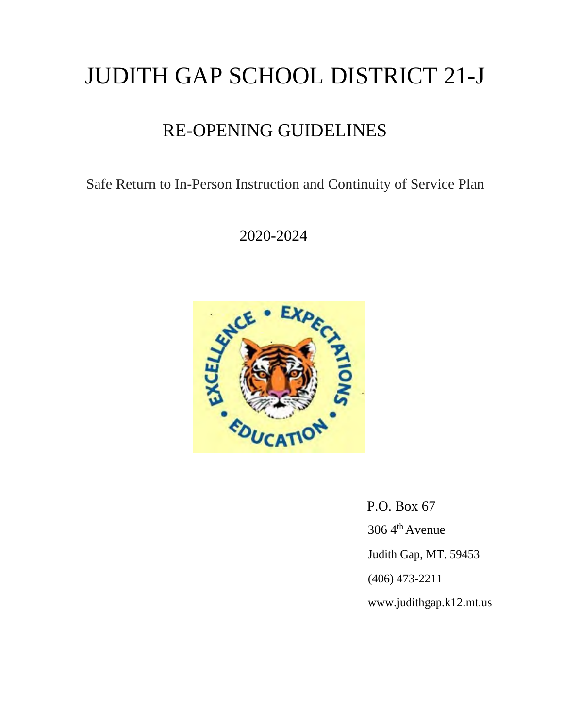# JUDITH GAP SCHOOL DISTRICT 21-J

# RE-OPENING GUIDELINES

Safe Return to In-Person Instruction and Continuity of Service Plan

2020-2024



 P.O. Box 67 306 4th Avenue Judith Gap, MT. 59453 (406) 473-2211 www.judithgap.k12.mt.us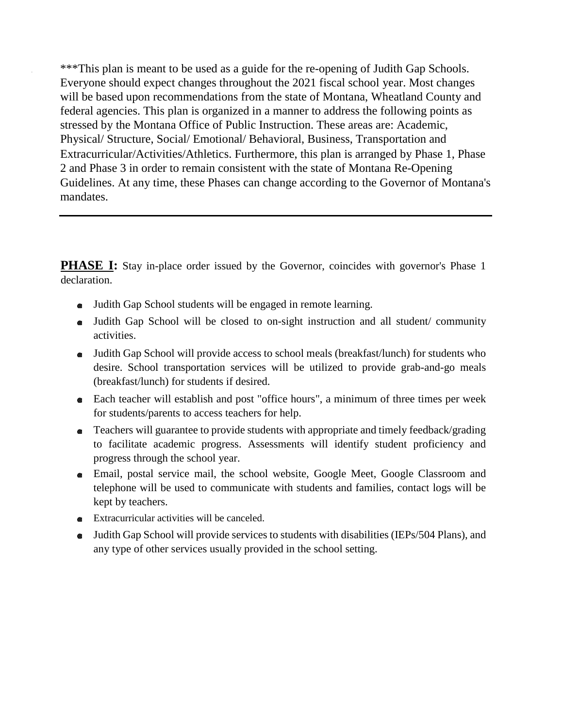\*\*\*This plan is meant to be used as a guide for the re-opening of Judith Gap Schools. Everyone should expect changes throughout the 2021 fiscal school year. Most changes will be based upon recommendations from the state of Montana, Wheatland County and federal agencies. This plan is organized in a manner to address the following points as stressed by the Montana Office of Public Instruction. These areas are: Academic, Physical/ Structure, Social/ Emotional/ Behavioral, Business, Transportation and Extracurricular/Activities/Athletics. Furthermore, this plan is arranged by Phase 1, Phase 2 and Phase 3 in order to remain consistent with the state of Montana Re-Opening Guidelines. At any time, these Phases can change according to the Governor of Montana's mandates.

**PHASE I:** Stay in-place order issued by the Governor, coincides with governor's Phase 1 declaration.

- Judith Gap School students will be engaged in remote learning.
- Judith Gap School will be closed to on-sight instruction and all student/ community activities.
- Judith Gap School will provide access to school meals (breakfast/lunch) for students who desire. School transportation services will be utilized to provide grab-and-go meals (breakfast/lunch) for students if desired.
- Each teacher will establish and post "office hours", a minimum of three times per week for students/parents to access teachers for help.
- Teachers will guarantee to provide students with appropriate and timely feedback/grading to facilitate academic progress. Assessments will identify student proficiency and progress through the school year.
- Email, postal service mail, the school website, Google Meet, Google Classroom and telephone will be used to communicate with students and families, contact logs will be kept by teachers.
- Extracurricular activities will be canceled.
- Judith Gap School will provide services to students with disabilities (IEPs/504 Plans), and any type of other services usually provided in the school setting.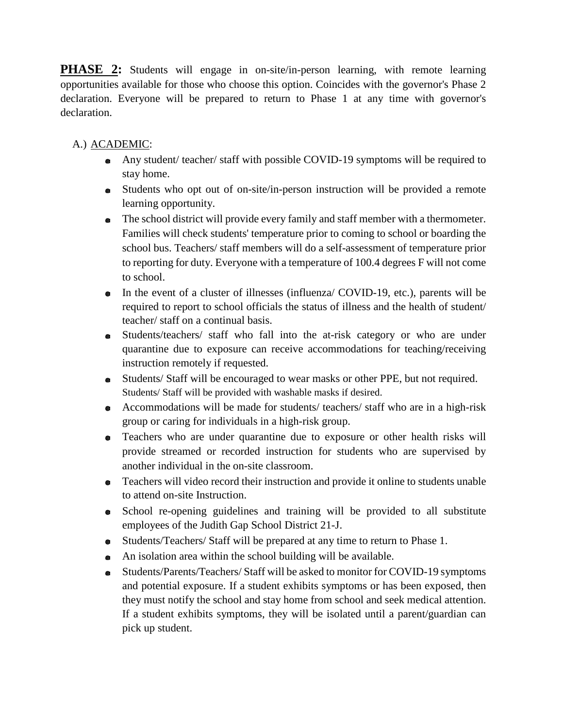**PHASE 2:** Students will engage in on-site/in-person learning, with remote learning opportunities available for those who choose this option. Coincides with the governor's Phase 2 declaration. Everyone will be prepared to return to Phase 1 at any time with governor's declaration.

# A.) ACADEMIC:

- Any student/ teacher/ staff with possible COVID-19 symptoms will be required to stay home.
- Students who opt out of on-site/in-person instruction will be provided a remote learning opportunity.
- The school district will provide every family and staff member with a thermometer. Families will check students' temperature prior to coming to school or boarding the school bus. Teachers/ staff members will do a self-assessment of temperature prior to reporting for duty. Everyone with a temperature of 100.4 degrees F will not come to school.
- In the event of a cluster of illnesses (influenza/ COVID-19, etc.), parents will be required to report to school officials the status of illness and the health of student/ teacher/ staff on a continual basis.
- Students/teachers/ staff who fall into the at-risk category or who are under quarantine due to exposure can receive accommodations for teaching/receiving instruction remotely if requested.
- Students/ Staff will be encouraged to wear masks or other PPE, but not required. Students/ Staff will be provided with washable masks if desired.
- Accommodations will be made for students/ teachers/ staff who are in a high-risk group or caring for individuals in a high-risk group.
- Teachers who are under quarantine due to exposure or other health risks will provide streamed or recorded instruction for students who are supervised by another individual in the on-site classroom.
- Teachers will video record their instruction and provide it online to students unable to attend on-site Instruction.
- School re-opening guidelines and training will be provided to all substitute employees of the Judith Gap School District 21-J.
- Students/Teachers/ Staff will be prepared at any time to return to Phase 1.
- An isolation area within the school building will be available.
- Students/Parents/Teachers/ Staff will be asked to monitor for COVID-19 symptoms and potential exposure. If a student exhibits symptoms or has been exposed, then they must notify the school and stay home from school and seek medical attention. If a student exhibits symptoms, they will be isolated until a parent/guardian can pick up student.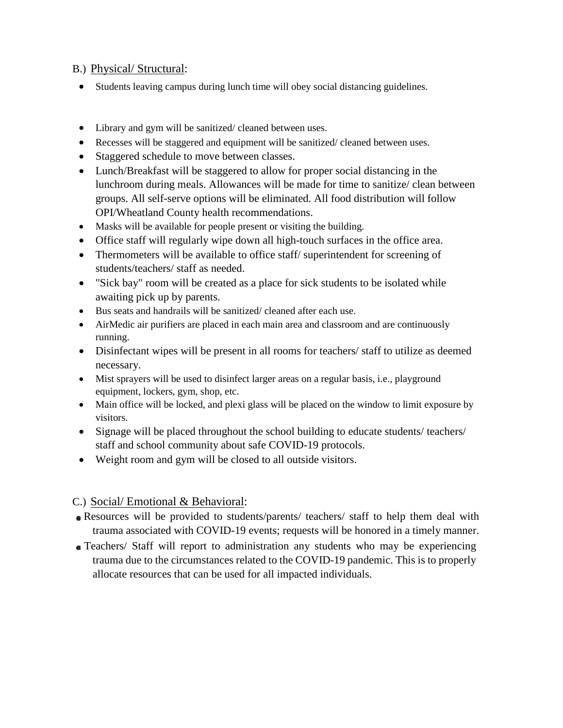#### B.) Physical/ Structural:

- Students leaving campus during lunch time will obey social distancing guidelines.
- Library and gym will be sanitized/ cleaned between uses.
- Recesses will be staggered and equipment will be sanitized/ cleaned between uses.
- Staggered schedule to move between classes.
- Lunch/Breakfast will be staggered to allow for proper social distancing in the lunchroom during meals. Allowances will be made for time to sanitize/ clean between groups. All self-serve options will be eliminated. All food distribution will follow OPI/Wheatland County health recommendations.
- Masks will be available for people present or visiting the building.
- Office staff will regularly wipe down all high-touch surfaces in the office area.
- Thermometers will be available to office staff/ superintendent for screening of students/teachers/ staff as needed.
- "Sick bay" room will be created as a place for sick students to be isolated while awaiting pick up by parents.
- Bus seats and handrails will be sanitized/ cleaned after each use.
- AirMedic air purifiers are placed in each main area and classroom and are continuously running.
- Disinfectant wipes will be present in all rooms for teachers/ staff to utilize as deemed necessary.
- Mist sprayers will be used to disinfect larger areas on a regular basis, i.e., playground equipment, lockers, gym, shop, etc.
- Main office will be locked, and plexi glass will be placed on the window to limit exposure by visitors.
- Signage will be placed throughout the school building to educate students/ teachers/ staff and school community about safe COVID-19 protocols.
- Weight room and gym will be closed to all outside visitors.

### C.) Social/ Emotional & Behavioral:

- Resources will be provided to students/parents/ teachers/ staff to help them deal with trauma associated with COVID-19 events; requests will be honored in a timely manner.
- Teachers/ Staff will report to administration any students who may be experiencing trauma due to the circumstances related to the COVID-19 pandemic. This is to properly allocate resources that can be used for all impacted individuals.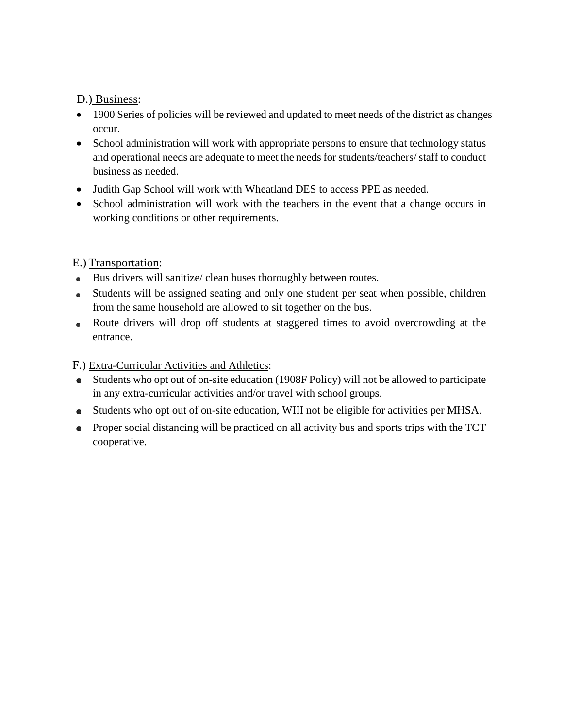#### D.) Business:

- 1900 Series of policies will be reviewed and updated to meet needs of the district as changes occur.
- School administration will work with appropriate persons to ensure that technology status and operational needs are adequate to meet the needs for students/teachers/ staff to conduct business as needed.
- Judith Gap School will work with Wheatland DES to access PPE as needed.
- School administration will work with the teachers in the event that a change occurs in working conditions or other requirements.

## E.) Transportation:

- Bus drivers will sanitize/ clean buses thoroughly between routes.
- Students will be assigned seating and only one student per seat when possible, children from the same household are allowed to sit together on the bus.
- Route drivers will drop off students at staggered times to avoid overcrowding at the entrance.

### F.) Extra-Curricular Activities and Athletics:

- Students who opt out of on-site education (1908F Policy) will not be allowed to participate in any extra-curricular activities and/or travel with school groups.
- Students who opt out of on-site education, WIII not be eligible for activities per MHSA.
- Proper social distancing will be practiced on all activity bus and sports trips with the TCT cooperative.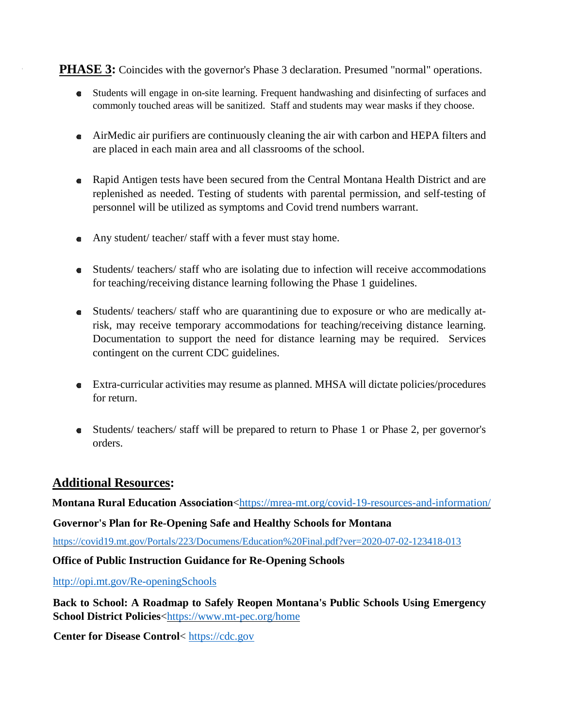#### **PHASE 3:** Coincides with the governor's Phase 3 declaration. Presumed "normal" operations.

- Students will engage in on-site learning. Frequent handwashing and disinfecting of surfaces and commonly touched areas will be sanitized. Staff and students may wear masks if they choose.
- AirMedic air purifiers are continuously cleaning the air with carbon and HEPA filters and are placed in each main area and all classrooms of the school.
- Rapid Antigen tests have been secured from the Central Montana Health District and are replenished as needed. Testing of students with parental permission, and self-testing of personnel will be utilized as symptoms and Covid trend numbers warrant.
- Any student/ teacher/ staff with a fever must stay home.
- Students/ teachers/ staff who are isolating due to infection will receive accommodations for teaching/receiving distance learning following the Phase 1 guidelines.
- Students/ teachers/ staff who are quarantining due to exposure or who are medically atrisk, may receive temporary accommodations for teaching/receiving distance learning. Documentation to support the need for distance learning may be required. Services contingent on the current CDC guidelines.
- Extra-curricular activities may resume as planned. MHSA will dictate policies/procedures for return.
- Students/ teachers/ staff will be prepared to return to Phase 1 or Phase 2, per governor's orders.

### **Additional Resources:**

**Montana Rural Education Association**[<https://mrea-mt.org/covid-19-resources-and-information/](https://mrea-mt.org/covid-19-resources-and-information/)

#### **Governor's Plan for Re-Opening Safe and Healthy Schools for Montana**

<https://covid19.mt.gov/Portals/223/Documens/Education%20Final.pdf?ver=2020-07-02-123418-013>

#### **Office of Public Instruction Guidance for Re-Opening Schools**

<http://opi.mt.gov/Re-openingSchools>

**Back to School: A Roadmap to Safely Reopen Montana's Public Schools Using Emergency School District Policies**[<https://www.mt-pec.org/home](https://www.mt-pec.org/home)

**Center for Disease Control**< [https://cdc.gov](https://cdc.gov/)